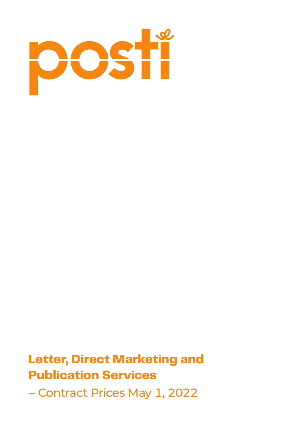

# **Letter, Direct Marketing and Publication Services**  – Contract Prices May 1, 2022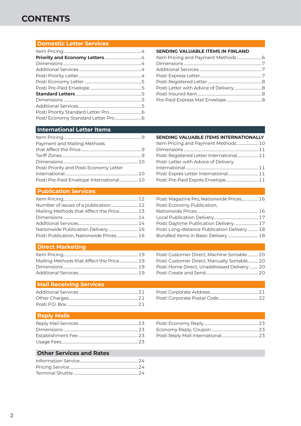### **CONTENTS**

#### **[Domestic Letter Services](#page-3-0)**

#### **[SENDING VALUABLE ITEMS IN FINLAND](#page-5-0)**

#### **[International Letter Items](#page-8-0)**

| Payment and Mailing Methods              |  |
|------------------------------------------|--|
|                                          |  |
|                                          |  |
|                                          |  |
| Posti Priority and Posti Economy Letter  |  |
|                                          |  |
| Posti Pre-Paid Envelope International 10 |  |
|                                          |  |

#### **[SENDING VALUABLE ITEMS INTERNATIONALLY](#page-9-0)** [Item Pricing and Payment Methods](#page-9-0) .......................10 Dimensions [.................................................................................11](#page-10-0) [Posti Registered Letter International.......................11](#page-10-0) [Posti Letter with Advice of Delivery](#page-10-0)

| Posti Exprès Letter International 11 |  |
|--------------------------------------|--|
| Posti Pre-Paid Exprès Envelope 11    |  |

#### **[Publication Services](#page-11-0)**

| Mailing Methods that Affect the Price 13 |  |
|------------------------------------------|--|
|                                          |  |
|                                          |  |
|                                          |  |
| Posti Publication, Nationwide Prices 16  |  |

#### [Posti Magazine Pro, Nationwide Prices..................16](#page-15-0) [Posti Economy Publication,](#page-15-0)  [Nationwide Prices...................................................................16](#page-15-0) [Local Publication Delivery................................................17](#page-16-0) [Posti Daytime Publication Delivery..........................17](#page-16-0) [Posti Long-distance Publication Delivery............18](#page-17-0) [Bundled Items in Basic Delivery](#page-17-0) .................................18

#### **[Direct Marketing](#page-18-0)**

| Mailing Methods that Affect the Price 19 |  |
|------------------------------------------|--|
|                                          |  |
|                                          |  |

#### [Posti Customer Direct, Manually Sortable...........20](#page-19-0) [Posti Home Direct, Unaddressed Delivery..........20](#page-19-0) [Posti Create and Send.........................................................20](#page-19-0)

[Posti Customer Direct, Machine Sortable............20](#page-19-0)

#### **[Mail Receiving Services](#page-20-0)**

#### **[Reply Mails](#page-22-0)**

[Posti Economy Reply...........................................................23](#page-22-0) [Economy Reply, Coupon...................................................23](#page-22-0) [Posti Reply Mail International........................................23](#page-22-0)

#### **[Other Services and Rates](#page-23-0)**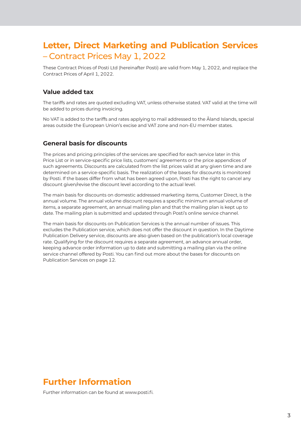## **Letter, Direct Marketing and Publication Services**  – Contract Prices May 1, 2022

These Contract Prices of Posti Ltd (hereinafter Posti) are valid from May 1, 2022, and replace the Contract Prices of April 1, 2022.

#### **Value added tax**

The tariffs and rates are quoted excluding VAT, unless otherwise stated. VAT valid at the time will be added to prices during invoicing.

No VAT is added to the tariffs and rates applying to mail addressed to the Åland Islands, special areas outside the European Union's excise and VAT zone and non-EU member states.

#### **General basis for discounts**

The prices and pricing principles of the services are specified for each service later in this Price List or in service-specific price lists, customers' agreements or the price appendices of such agreements. Discounts are calculated from the list prices valid at any given time and are determined on a service-specific basis. The realization of the bases for discounts is monitored by Posti. If the bases differ from what has been agreed upon, Posti has the right to cancel any discount given/revise the discount level according to the actual level.

The main basis for discounts on domestic addressed marketing items, Customer Direct, is the annual volume. The annual volume discount requires a specific minimum annual volume of items, a separate agreement, an annual mailing plan and that the mailing plan is kept up to date. The mailing plan is submitted and updated through Posti's online service channel.

The main basis for discounts on Publication Services is the annual number of issues. This excludes the Publication service, which does not offer the discount in question. In the Daytime Publication Delivery service, discounts are also given based on the publication's local coverage rate. Qualifying for the discount requires a separate agreement, an advance annual order, keeping advance order information up to date and submitting a mailing plan via the online service channel offered by Posti. You can find out more about the bases for discounts on Publication Services [on page 12.](#page-11-0)

#### **Further Information**

Further information can be found at [www.posti.fi.](http://www.posti.fi)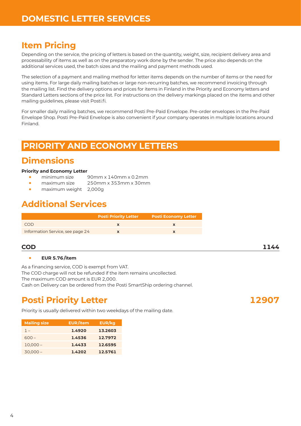### <span id="page-3-0"></span>**Item Pricing**

Depending on the service, the pricing of letters is based on the quantity, weight, size, recipient delivery area and processability of items as well as on the preparatory work done by the sender. The price also depends on the additional services used, the batch sizes and the mailing and payment methods used.

The selection of a payment and mailing method for letter items depends on the number of items or the need for using items. For large daily mailing batches or large non-recurring batches, we recommend invoicing through the mailing list. Find the delivery options and prices for items in Finland in the Priority and Economy letters and Standard Letters sections of the price list. For instructions on the delivery markings placed on the items and other mailing guidelines, please visit Posti.fi.

For smaller daily mailing batches, we recommend Posti Pre-Paid Envelope. Pre-order envelopes in the Pre-Paid Envelope Shop. Posti Pre-Paid Envelope is also convenient if your company operates in multiple locations around Finland.

#### **PRIORITY AND ECONOMY LETTERS**

### **Dimensions**

#### **Priority and Economy Letter**

- **•** minimum size 90mm x 140mm x 0.2mm
- **•** maximum size 250mm x 353mm x 30mm
- **•** maximum weight 2,000g

## **Additional Services**

|                                  | <b>Posti Priority Letter</b> | Posti Economy Letter |
|----------------------------------|------------------------------|----------------------|
| COD.                             |                              |                      |
| Information Service, see page 24 |                              |                      |

#### **COD 1144**

#### **• EUR 5.76 /item**

As a financing service, COD is exempt from VAT.

The COD charge will not be refunded if the item remains uncollected.

The maximum COD amount is EUR 2,000.

Cash on Delivery can be ordered from the Posti SmartShip ordering channel.

# **Posti Priority Letter 12907**

Priority is usually delivered within two weekdays of the mailing date.

| <b>Mailing size</b> | <b>EUR/item</b> | EUR/kg  |
|---------------------|-----------------|---------|
| $1 -$               | 1.4920          | 13.2603 |
| $600-$              | 1.4536          | 12.7972 |
| $10,000 -$          | 1.4433          | 12.6595 |
| $30,000 -$          | 1.4202          | 12.5761 |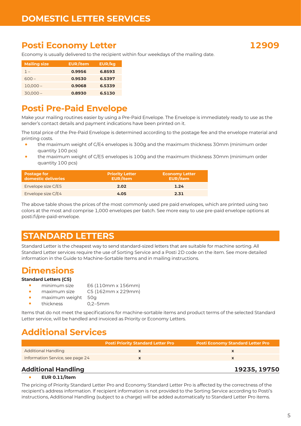### <span id="page-4-0"></span>**Posti Economy Letter 12909**

Economy is usually delivered to the recipient within four weekdays of the mailing date.

| <b>Mailing size</b> | <b>EUR/item</b> | EUR/kg |
|---------------------|-----------------|--------|
| $1 -$               | 0.9956          | 6,8593 |
| 600 –               | 0.9530          | 6.5397 |
| $10,000 -$          | 0.9068          | 6.5339 |
| $30,000 -$          | 0.8930          | 6.5130 |

#### **Posti Pre-Paid Envelope**

Make your mailing routines easier by using a Pre-Paid Envelope. The Envelope is immediately ready to use as the sender's contact details and payment indications have been printed on it.

The total price of the Pre-Paid Envelope is determined according to the postage fee and the envelope material and printing costs.

- **•** the maximum weight of C/E4 envelopes is 300g and the maximum thickness 30mm (minimum order quantity 100 pcs)
- **•** the maximum weight of C/E5 envelopes is 100g and the maximum thickness 30mm (minimum order quantity 100 pcs)

| <b>Postage for</b><br>domestic deliveries | <b>Priority Letter</b><br><b>EUR/item</b> | <b>Economy Letter</b><br><b>EUR/item</b> |
|-------------------------------------------|-------------------------------------------|------------------------------------------|
| Envelope size C/E5                        | 2.02                                      | 1.24                                     |
| Envelope size C/E4                        | 4.05                                      | 2.31                                     |

The above table shows the prices of the most commonly used pre paid envelopes, which are printed using two colors at the most and comprise 1,000 envelopes per batch. See more easy to use pre-paid envelope options at [posti.fi/pre-paid-envelope](http://www.posti.fi/pre-paid-envelope).

# **STANDARD LETTERS**

Standard Letter is the cheapest way to send standard-sized letters that are suitable for machine sorting. All Standard Letter services require the use of Sorting Service and a Posti 2D code on the item. See more detailed information in the Guide to Machine-Sortable Items and in mailing instructions.

#### **Dimensions**

#### **Standard Letters (C5)**

- **•** minimum size E6 (110mm x 156mm)
- **•** maximum size C5 (162mm x 229mm)
- **•** maximum weight 50g<br>**•** thickness 0.2-5mm
	- **•** thickness 0,2–5mm

Items that do not meet the specifications for machine-sortable items and product terms of the selected Standard Letter service, will be handled and invoiced as Priority or Economy Letters.

# **Additional Services**

|                                  | <b>Posti Priority Standard Letter Pro</b> | <b>Posti Economy Standard Letter Pro</b> |
|----------------------------------|-------------------------------------------|------------------------------------------|
| <b>Additional Handling</b>       |                                           |                                          |
| Information Service, see page 24 |                                           |                                          |
| - - - - -<br>.                   |                                           |                                          |

#### **Additional Handling 19235, 19750**

#### **• EUR 0.11/item**

The pricing of Priority Standard Letter Pro and Economy Standard Letter Pro is affected by the correctness of the recipient's address information. If recipient information is not provided to the Sorting Service according to Posti's instructions, Additional Handling (subject to a charge) will be added automatically to Standard Letter Pro items.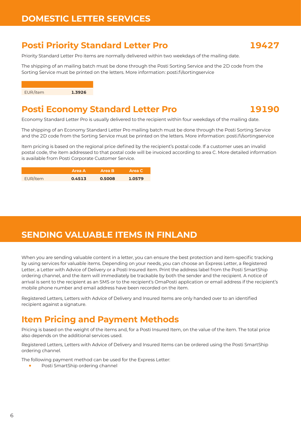## <span id="page-5-0"></span>**Posti Priority Standard Letter Pro 19427**

Priority Standard Letter Pro items are normally delivered within two weekdays of the mailing date.

The shipping of an mailing batch must be done through the Posti Sorting Service and the 2D code from the Sorting Service must be printed on the letters. More information: [posti.fi/sortingservice](https://posti.fi/sortingservice)



#### **Posti Economy Standard Letter Pro 19190**

Economy Standard Letter Pro is usually delivered to the recipient within four weekdays of the mailing date.

The shipping of an Economy Standard Letter Pro mailing batch must be done through the Posti Sorting Service and the 2D code from the Sorting Service must be printed on the letters. More information: [posti.fi/sortingservice](https://posti.fi/sortingservice)

Item pricing is based on the regional price defined by the recipient's postal code. If a customer uses an invalid postal code, the item addressed to that postal code will be invoiced according to area C. More detailed information is available from Posti Corporate Customer Service.

|          | Area A | <b>Area</b> B | Area C |
|----------|--------|---------------|--------|
| EUR/item | 0.4513 | 0.5008        | 1.0579 |

#### **SENDING VALUABLE ITEMS IN FINLAND**

When you are sending valuable content in a letter, you can ensure the best protection and item-specific tracking by using services for valuable items. Depending on your needs, you can choose an Express Letter, a Registered Letter, a Letter with Advice of Delivery or a Posti Insured item. Print the address label from the Posti SmartShip ordering channel, and the item will immediately be trackable by both the sender and the recipient. A notice of arrival is sent to the recipient as an SMS or to the recipient's OmaPosti application or email address if the recipient's mobile phone number and email address have been recorded on the item.

Registered Letters, Letters with Advice of Delivery and Insured Items are only handed over to an identified recipient against a signature.

### **Item Pricing and Payment Methods**

Pricing is based on the weight of the items and, for a Posti Insured Item, on the value of the item. The total price also depends on the additional services used.

Registered Letters, Letters with Advice of Delivery and Insured Items can be ordered using the Posti SmartShip ordering channel.

The following payment method can be used for the Express Letter:

**•** Posti SmartShip ordering channel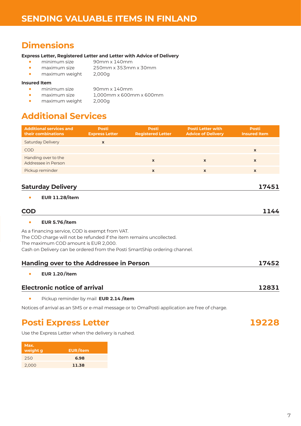## <span id="page-6-0"></span>**Dimensions**

#### **Express Letter, Registered Letter and Letter with Advice of Delivery**

- **•** minimum size 90mm x 140mm<br>• maximum size 250mm x 353mm
- **•** maximum size 250mm x 353mm x 30mm
- **•** maximum weight 2,000g

#### **Insured Item**

- **•** minimum size 90mm x 140mm **•** maximum size 1,000mm x 600mm x 600mm
- **•** maximum weight 2,000g

# **Additional Services**

| <b>Additional services and</b><br>their combinations                                                                                                                                                                                          | <b>Posti</b><br><b>Express Letter</b>  | <b>Posti</b><br><b>Registered Letter</b> | <b>Posti Letter with</b><br><b>Advice of Delivery</b> | <b>Posti</b><br><b>Insured Item</b> |
|-----------------------------------------------------------------------------------------------------------------------------------------------------------------------------------------------------------------------------------------------|----------------------------------------|------------------------------------------|-------------------------------------------------------|-------------------------------------|
| <b>Saturday Delivery</b>                                                                                                                                                                                                                      | $\mathbf{x}$                           |                                          |                                                       |                                     |
| COD                                                                                                                                                                                                                                           |                                        |                                          |                                                       | $\mathbf x$                         |
| Handing over to the<br>Addressee in Person                                                                                                                                                                                                    |                                        | $\mathbf{x}$                             | $\mathbf{x}$                                          | $\mathbf{x}$                        |
| Pickup reminder                                                                                                                                                                                                                               |                                        | $\mathbf{x}$                             | $\mathbf{x}$                                          | $\mathbf{x}$                        |
| <b>Saturday Delivery</b>                                                                                                                                                                                                                      |                                        |                                          |                                                       | 17451                               |
| <b>EUR 11.28/item</b><br>$\bullet$<br><b>COD</b>                                                                                                                                                                                              |                                        |                                          |                                                       | 1144                                |
| <b>EUR 5.76/item</b><br>$\bullet$                                                                                                                                                                                                             |                                        |                                          |                                                       |                                     |
| As a financing service, COD is exempt from VAT.<br>The COD charge will not be refunded if the item remains uncollected.<br>The maximum COD amount is EUR 2,000.<br>Cash on Delivery can be ordered from the Posti SmartShip ordering channel. |                                        |                                          |                                                       |                                     |
| <b>Handing over to the Addressee in Person</b>                                                                                                                                                                                                |                                        |                                          |                                                       | 17452                               |
| <b>EUR 1.20/item</b><br>$\bullet$                                                                                                                                                                                                             |                                        |                                          |                                                       |                                     |
| <b>Electronic notice of arrival</b>                                                                                                                                                                                                           |                                        |                                          |                                                       | 12831                               |
| $\bullet$                                                                                                                                                                                                                                     | Pickup reminder by mail EUR 2.14 /item |                                          |                                                       |                                     |
| Notices of arrival as an SMS or e-mail message or to OmaPosti application are free of charge.                                                                                                                                                 |                                        |                                          |                                                       |                                     |

#### **Posti Express Letter 19228**

Use the Express Letter when the delivery is rushed.

| Max.<br>weight g | <b>EUR/item</b> |
|------------------|-----------------|
| 250              | 6.98            |
| 2,000            | 11.38           |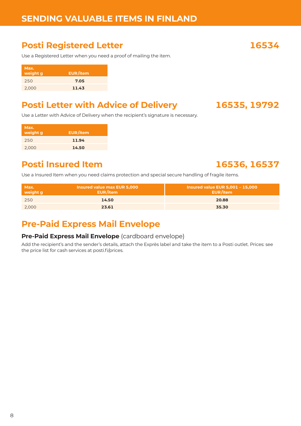# <span id="page-7-0"></span>**Posti Registered Letter 16534**

Use a Registered Letter when you need a proof of mailing the item.

| Max.<br>weight g | <b>EUR/item</b> |
|------------------|-----------------|
| 250              | 7.05            |
| 2,000            | 11.43           |

# **Posti Letter with Advice of Delivery 16535, 19792**

Use a Letter with Advice of Delivery when the recipient's signature is necessary.

| Max.<br>weight g | <b>EUR/item</b> |
|------------------|-----------------|
| 250              | 11.94           |
| 2.000            | 14.50           |
|                  |                 |

# **Posti Insured Item 16536, 16537**

Use a Insured Item when you need claims protection and special secure handling of fragile items.

| Max.<br>weight g | <b>Insured value max EUR 5,000</b><br>EUR/item | <b>Insured value EUR 5,001 - 15,000</b><br><b>EUR/item</b> |
|------------------|------------------------------------------------|------------------------------------------------------------|
| 250              | 14.50                                          | 20.88                                                      |
| 2.000            | 23.61                                          | 35.30                                                      |

# **Pre-Paid Express Mail Envelope**

#### **Pre-Paid Express Mail Envelope** (cardboard envelope)

Add the recipient's and the sender's details, attach the Exprès label and take the item to a Posti outlet. Prices: see the price list for cash services at [posti.fi/prices](http://www.posti.fi/prices).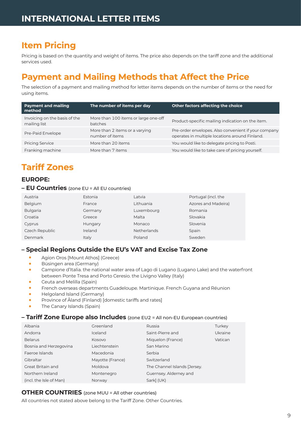## <span id="page-8-0"></span>**Item Pricing**

Pricing is based on the quantity and weight of items. The price also depends on the tariff zone and the additional services used.

# **Payment and Mailing Methods that Affect the Price**

The selection of a payment and mailing method for letter items depends on the number of items or the need for using items.

| <b>Payment and mailing</b><br>method          | The number of items per day                       | Other factors affecting the choice                                                                     |
|-----------------------------------------------|---------------------------------------------------|--------------------------------------------------------------------------------------------------------|
| Invoicing on the basis of the<br>mailing list | More than 100 items or large one-off<br>batches   | Product-specific mailing indication on the item.                                                       |
| Pre-Paid Envelope                             | More than 2 items or a varying<br>number of items | Pre-order envelopes. Also convenient if your company<br>operates in multiple locations around Finland. |
| <b>Pricing Service</b>                        | More than 20 items                                | You would like to delegate pricing to Posti.                                                           |
| Franking machine                              | More than 7 items                                 | You would like to take care of pricing yourself.                                                       |

# **Tariff Zones**

#### **EUROPE:**

#### **– EU Countries** (zone EU = All EU countries)

| Austria         | Estonia | Latvia      | Portugal (incl. the |
|-----------------|---------|-------------|---------------------|
| Belgium         | France  | Lithuania   | Azores and Madeira) |
| <b>Bulgaria</b> | Germany | Luxembourg  | Romania             |
| Croatia         | Greece  | Malta       | Slovakia            |
| Cyprus          | Hungary | Monaco      | Slovenia            |
| Czech Republic  | Ireland | Netherlands | Spain               |
| Denmark         | Italy   | Poland      | Sweden              |

#### **– Special Regions Outside the EU's VAT and Excise Tax Zone**

- **•** Agion Oros [Mount Athos] (Greece)
- **•** Büsingen area (Germany)
- **•** Campione d'Italia. the national water area of Lago di Lugano (Lugano Lake) and the waterfront between Ponte Tresa and Porto Ceresio. the Livigno Valley (Italy)
- **•** Ceuta and Melilla (Spain)
- **•** French overseas departments Guadeloupe. Martinique. French Guyana and Réunion
- **•** Helgoland Island (Germany)
- **•** Province of Åland (Finland) [domestic tariffs and rates]
- **•** The Canary Islands (Spain)

#### **– Tariff Zone Europe also Includes** (zone EU2 = All non-EU European countries)

| Albania                 | Greenland        | Russia                       | Turkey  |
|-------------------------|------------------|------------------------------|---------|
| Andorra                 | <b>Iceland</b>   | Saint-Pierre and             | Ukraine |
| <b>Belarus</b>          | Kosovo           | Miquelon (France)            | Vatican |
| Bosnia and Herzegovina  | Liechtenstein    | San Marino                   |         |
| Faeroe Islands          | Macedonia        | Serbia                       |         |
| Gibraltar               | Mayotte (France) | Switzerland                  |         |
| Great Britain and       | Moldova          | The Channel Islands [Jersey. |         |
| Northern Ireland        | Montenegro       | Guernsey. Alderney and       |         |
| (incl. the Isle of Man) | Norway           | Sark] (UK)                   |         |

#### **OTHER COUNTRIES** (zone MUU = All other countries)

All countries not stated above belong to the Tariff Zone. Other Countries.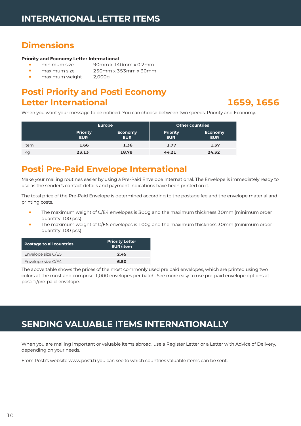# <span id="page-9-0"></span>**Dimensions**

#### **Priority and Economy Letter International**

- 
- 
- 
- **•** minimum size 90mm x 140mm x 0.2mm **•** maximum size 250mm x 353mm x 30mm
- maximum weight

# **Posti Priority and Posti Economy Letter International 1659, 1656**

When you want your message to be noticed. You can choose between two speeds: Priority and Economy.

|      |                               | <b>Europe</b>         |                               | <b>Other countries</b>       |
|------|-------------------------------|-----------------------|-------------------------------|------------------------------|
|      | <b>Priority</b><br><b>EUR</b> | Economy<br><b>EUR</b> | <b>Priority</b><br><b>EUR</b> | <b>Economy</b><br><b>EUR</b> |
| Item | 1.66                          | 1.36                  | 1.77                          | 1.37                         |
| Kg   | 23.13                         | 18.78                 | 44.21                         | 24.32                        |

# **Posti Pre-Paid Envelope International**

Make your mailing routines easier by using a Pre-Paid Envelope International. The Envelope is immediately ready to use as the sender's contact details and payment indications have been printed on it.

The total price of the Pre-Paid Envelope is determined according to the postage fee and the envelope material and printing costs.

- **•** The maximum weight of C/E4 envelopes is 300g and the maximum thickness 30mm (minimum order quantity 100 pcs)
- **•** The maximum weight of C/E5 envelopes is 100g and the maximum thickness 30mm (minimum order quantity 100 pcs)

| <b>Postage to all countries</b> | <b>Priority Letter</b><br>EUR/item |
|---------------------------------|------------------------------------|
| Envelope size C/E5              | 2.45                               |
| Envelope size C/E4              | 6.50                               |

The above table shows the prices of the most commonly used pre paid envelopes, which are printed using two colors at the most and comprise 1,000 envelopes per batch. See more easy to use pre-paid envelope options at [posti.fi/pre-paid-envelope](http://www.posti.fi/pre-paid-envelope).

# **SENDING VALUABLE ITEMS INTERNATIONALLY**

When you are mailing important or valuable items abroad. use a Register Letter or a Letter with Advice of Delivery, depending on your needs.

From Posti's website [www.posti.fi](http://www.posti.fi) you can see to which countries valuable items can be sent.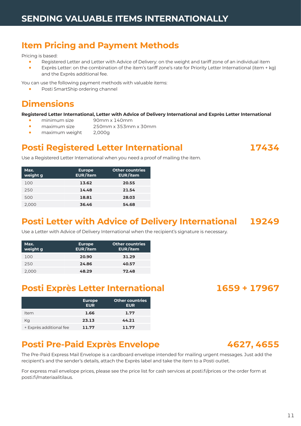## <span id="page-10-0"></span>**Item Pricing and Payment Methods**

#### Pricing is based:

- **•** Registered Letter and Letter with Advice of Delivery: on the weight and tariff zone of an individual item
- **•** Exprès Letter: on the combination of the item's tariff zone's rate for Priority Letter International (item + kg) and the Exprès additional fee.

You can use the following payment methods with valuable items:

**•** Posti SmartShip ordering channel

#### **Dimensions**

#### **Registered Letter International, Letter with Advice of Delivery International and Exprès Letter International**

- **•** minimum size 90mm x 140mm
- **•** maximum size 250mm x 353mm x 30mm
- maximum weight

#### **Posti Registered Letter International 17434**

Use a Registered Letter International when you need a proof of mailing the item.

Use a Letter with Advice of Delivery International when the recipient's signature is necessary.

| Max.<br>weight g | <b>Europe</b><br>EUR/item | <b>Other countries</b><br>EUR/item |  |  |  |  |
|------------------|---------------------------|------------------------------------|--|--|--|--|
| 100              | 13.62                     | 20.55                              |  |  |  |  |
| 250              | 14.48                     | 21.54                              |  |  |  |  |
| 500              | 18.81                     | 28.03                              |  |  |  |  |
| 2.000            | 36.46                     | 54.68                              |  |  |  |  |

#### **Posti Letter with Advice of Delivery International 19249**

| Max.<br>weight g | <b>Europe</b><br>EUR/item | <b>Other countries</b><br>EUR/item |
|------------------|---------------------------|------------------------------------|
| 100              | 20.90                     | 31.29                              |
| 250              | 24.86                     | 40.57                              |
| 2.000            | 48.29                     | 72.48                              |

#### **Posti Exprès Letter International 1659 + 17967**

|                         | <b>Europe</b><br><b>EUR</b> | Other countries<br><b>EUR</b> |
|-------------------------|-----------------------------|-------------------------------|
| Item                    | 1.66                        | 1.77                          |
| Kg                      | 23.13                       | 44.21                         |
| + Exprès additional fee | 11.77                       | 11.77                         |

### **Posti Pre-Paid Exprès Envelope 4627, 4655**



For express mail envelope prices, please see the price list for cash services at [posti.fi/prices](http://posti.fi/prices) or the order form at [posti.fi/materiaalitilaus](http://posti.fi/materiaalitilaus).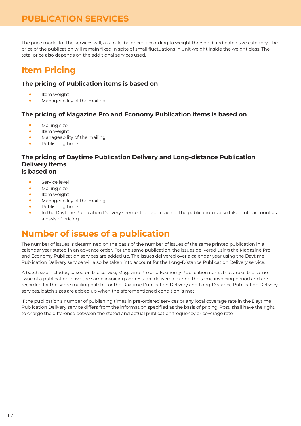#### <span id="page-11-0"></span>**PUBLICATION SERVICES**

The price model for the services will, as a rule, be priced according to weight threshold and batch size category. The price of the publication will remain fixed in spite of small fluctuations in unit weight inside the weight class. The total price also depends on the additional services used.

# **Item Pricing**

#### **The pricing of Publication items is based on**

- **•** Item weight
- **•** Manageability of the mailing.

#### **The pricing of Magazine Pro and Economy Publication items is based on**

- **•** Mailing size
- **•** Item weight
- **•** Manageability of the mailing
- **•** Publishing times.

#### **The pricing of Daytime Publication Delivery and Long-distance Publication Delivery items is based on**

- **•** Service level
- **•** Mailing size
- **•** Item weight
- **•** Manageability of the mailing
- **•** Publishing times
- **•** In the Daytime Publication Delivery service, the local reach of the publication is also taken into account as a basis of pricing.

# **Number of issues of a publication**

The number of issues is determined on the basis of the number of issues of the same printed publication in a calendar year stated in an advance order. For the same publication, the issues delivered using the Magazine Pro and Economy Publication services are added up. The issues delivered over a calendar year using the Daytime Publication Delivery service will also be taken into account for the Long-Distance Publication Delivery service.

A batch size includes, based on the service, Magazine Pro and Economy Publication items that are of the same issue of a publication, have the same invoicing address, are delivered during the same invoicing period and are recorded for the same mailing batch. For the Daytime Publication Delivery and Long-Distance Publication Delivery services, batch sizes are added up when the aforementioned condition is met.

If the publication's number of publishing times in pre-ordered services or any local coverage rate in the Daytime Publication Delivery service differs from the information specified as the basis of pricing, Posti shall have the right to charge the difference between the stated and actual publication frequency or coverage rate.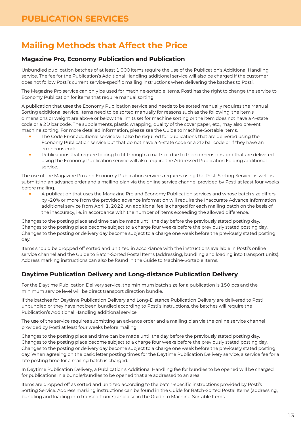# <span id="page-12-0"></span>**Mailing Methods that Affect the Price**

#### **Magazine Pro, Economy Publication and Publication**

Unbundled publication batches of at least 1,000 items require the use of the Publication's Additional Handling service. The fee for the Publication's Additional Handling additional service will also be charged if the customer does not follow Posti's current service-specific mailing instructions when delivering the batches to Posti.

The Magazine Pro service can only be used for machine-sortable items. Posti has the right to change the service to Economy Publication for items that require manual sorting.

A publication that uses the Economy Publication service and needs to be sorted manually requires the Manual Sorting additional service. Items need to be sorted manually for reasons such as the following: the item's dimensions or weight are above or below the limits set for machine sorting or the item does not have a 4-state code or a 2D bar code. The supplements, plastic wrapping, quality of the cover paper, etc., may also prevent machine sorting. For more detailed information, please see the Guide to Machine-Sortable Items.

- **•** The Code Error additional service will also be required for publications that are delivered using the Economy Publication service but that do not have a 4-state code or a 2D bar code or if they have an erroneous code.
- **•** Publications that require folding to fit through a mail slot due to their dimensions and that are delivered using the Economy Publication service will also require the Addressed Publication Folding additional service.

The use of the Magazine Pro and Economy Publication services requires using the Posti Sorting Service as well as submitting an advance order and a mailing plan via the online service channel provided by Posti at least four weeks before mailing.

**•** A publication that uses the Magazine Pro and Economy Publication services and whose batch size differs by -20% or more from the provided advance information will require the Inaccurate Advance Information additional service from April 1, 2022. An additional fee is charged for each mailing batch on the basis of the inaccuracy, i.e. in accordance with the number of items exceeding the allowed difference.

Changes to the posting place and time can be made until the day before the previously stated posting day. Changes to the posting place become subject to a charge four weeks before the previously stated posting day. Changes to the posting or delivery day become subject to a charge one week before the previously stated posting day.

Items should be dropped off sorted and unitized in accordance with the instructions available in Posti's online service channel and the Guide to Batch-Sorted Postal Items (addressing, bundling and loading into transport units). Address marking instructions can also be found in the Guide to Machine-Sortable Items.

#### **Daytime Publication Delivery and Long-distance Publication Delivery**

For the Daytime Publication Delivery service, the minimum batch size for a publication is 150 pcs and the minimum service level will be direct transport direction bundle.

If the batches for Daytime Publication Delivery and Long-Distance Publication Delivery are delivered to Posti unbundled or they have not been bundled according to Posti's instructions, the batches will require the Publication's Additional Handling additional service.

The use of the service requires submitting an advance order and a mailing plan via the online service channel provided by Posti at least four weeks before mailing.

Changes to the posting place and time can be made until the day before the previously stated posting day. Changes to the posting place become subject to a charge four weeks before the previously stated posting day. Changes to the posting or delivery day become subject to a charge one week before the previously stated posting day. When agreeing on the basic letter posting times for the Daytime Publication Delivery service, a service fee for a late posting time for a mailing batch is charged.

In Daytime Publication Delivery, a Publication's Additional Handling fee for bundles to be opened will be charged for publications in a bundle/bundles to be opened that are addressed to an area.

Items are dropped off as sorted and unitized according to the batch-specific instructions provided by Posti's Sorting Service. Address marking instructions can be found in the Guide for Batch-Sorted Postal Items (addressing, bundling and loading into transport units) and also in the Guide to Machine-Sortable Items.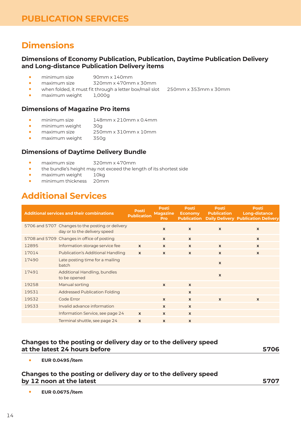## <span id="page-13-0"></span>**Dimensions**

#### **Dimensions of Economy Publication, Publication, Daytime Publication Delivery and Long-distance Publication Delivery items**

- **•** minimum size 90mm x 140mm
- **•** maximum size 320mm x 470mm x 30mm
- **•** when folded, it must fit through a letter box/mail slot 250mm x 353mm x 30mm
- maximum weight

#### **Dimensions of Magazine Pro items**

- **•** minimum size 148mm x 210mm x 0.4mm<br>• minimum weight 30g
- 
- minimum weight<br>• maximum size **•** maximum size 250mm x 310mm x 10mm<br>• maximum weight 350g
- **•** maximum weight 350g

#### **Dimensions of Daytime Delivery Bundle**

- **•** maximum size 320mm x 470mm
- **•** the bundle's height may not exceed the length of its shortest side
- **•** maximum weight 10kg
- **•** minimum thickness 20mm

# **Additional Services**

|       | <b>Additional services and their combinations</b>                                | <b>Posti</b><br><b>Publication</b> | <b>Posti</b><br><b>Magazine</b><br><b>Pro</b> | <b>Posti</b><br><b>Economy</b><br><b>Publication</b> | Posti<br><b>Publication</b> | <b>Posti</b><br><b>Long-distance</b><br><b>Daily Delivery Publication Delivery</b> |
|-------|----------------------------------------------------------------------------------|------------------------------------|-----------------------------------------------|------------------------------------------------------|-----------------------------|------------------------------------------------------------------------------------|
|       | 5706 and 5707 Changes to the posting or delivery<br>day or to the delivery speed |                                    | $\mathbf{x}$                                  | $\mathbf{x}$                                         | $\mathbf{x}$                | $\mathbf{x}$                                                                       |
|       | 5708 and 5709 Changes in office of posting                                       |                                    | $\mathbf{x}$                                  | $\boldsymbol{\mathsf{x}}$                            |                             | $\mathbf{x}$                                                                       |
| 12895 | Information storage service fee                                                  | $\mathbf{x}$                       | $\mathbf{x}$                                  | $\mathbf{x}$                                         | $\mathbf{x}$                | $\mathbf{x}$                                                                       |
| 17014 | <b>Publication's Additional Handling</b>                                         | $\mathbf{x}$                       | $\mathbf{x}$                                  | $\mathbf{x}$                                         | $\mathbf{x}$                | $\mathbf{x}$                                                                       |
| 17490 | Late posting time for a mailing<br>batch                                         |                                    |                                               |                                                      | $\mathbf{x}$                |                                                                                    |
| 17491 | Additional Handling, bundles<br>to be opened                                     |                                    |                                               |                                                      | $\pmb{\chi}$                |                                                                                    |
| 19258 | Manual sorting                                                                   |                                    | $\mathbf{x}$                                  | $\mathbf{x}$                                         |                             |                                                                                    |
| 19531 | <b>Addressed Publication Folding</b>                                             |                                    |                                               | $\mathbf{x}$                                         |                             |                                                                                    |
| 19532 | Code Error                                                                       |                                    | $\mathbf{x}$                                  | $\mathbf{x}$                                         | $\mathbf{x}$                | $\mathbf{x}$                                                                       |
| 19533 | Invalid advance information                                                      |                                    | $\mathbf{x}$                                  | $\mathbf{x}$                                         |                             |                                                                                    |
|       | Information Service, see page 24                                                 | $\mathbf{x}$                       | $\mathbf{x}$                                  | $\mathbf{x}$                                         |                             |                                                                                    |
|       | Terminal shuttle, see page 24                                                    | $\mathbf{x}$                       | $\mathbf{x}$                                  | $\mathbf{x}$                                         |                             |                                                                                    |

#### **Changes to the posting or delivery day or to the delivery speed at the latest 24 hours before 5706**

**• EUR 0.0495 /item**

#### **Changes to the posting or delivery day or to the delivery speed by 12 noon at the latest 5707**

**• EUR 0.0675 /item**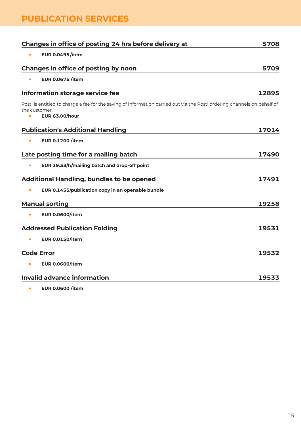## **PUBLICATION SERVICES**

|                       | Changes in office of posting 24 hrs before delivery at                                                                                            | 5708  |
|-----------------------|---------------------------------------------------------------------------------------------------------------------------------------------------|-------|
|                       | <b>EUR 0.0495/item</b>                                                                                                                            |       |
|                       | Changes in office of posting by noon                                                                                                              | 5709  |
| $\bullet$             | <b>EUR 0.0675 /item</b>                                                                                                                           |       |
|                       | Information storage service fee                                                                                                                   | 12895 |
| the customer.         | Posti is entitled to charge a fee for the saving of information carried out via the Posti ordering channels on behalf of<br><b>EUR 63.00/hour</b> |       |
|                       | <b>Publication's Additional Handling</b>                                                                                                          | 17014 |
| $\bullet$             | <b>EUR 0.1200 /item</b>                                                                                                                           |       |
|                       | Late posting time for a mailing batch                                                                                                             | 17490 |
| $\bullet$             | EUR 19.33/h/mailing batch and drop-off point                                                                                                      |       |
|                       | <b>Additional Handling, bundles to be opened</b>                                                                                                  | 17491 |
|                       | EUR 0.1455/publication copy in an openable bundle                                                                                                 |       |
| <b>Manual sorting</b> |                                                                                                                                                   | 19258 |
|                       | <b>EUR 0.0600/item</b>                                                                                                                            |       |
|                       | <b>Addressed Publication Folding</b>                                                                                                              | 19531 |
|                       | <b>EUR 0.0150/item</b>                                                                                                                            |       |
| <b>Code Error</b>     |                                                                                                                                                   | 19532 |
| $\bullet$             | <b>EUR 0.0600/item</b>                                                                                                                            |       |
|                       | <b>Invalid advance information</b>                                                                                                                | 19533 |
|                       |                                                                                                                                                   |       |

**• EUR 0.0600 /item**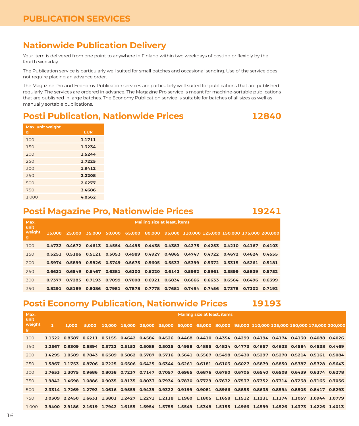### <span id="page-15-0"></span>**Nationwide Publication Delivery**

Your item is delivered from one point to anywhere in Finland within two weekdays of posting or flexibly by the fourth weekday.

The Publication service is particularly well suited for small batches and occasional sending. Use of the service does not require placing an advance order.

The Magazine Pro and Economy Publication services are particularly well suited for publications that are published regularly. The services are ordered in advance. The Magazine Pro service is meant for machine-sortable publications that are published in large batches. The Economy Publication service is suitable for batches of all sizes as well as manually sortable publications.

### **Posti Publication, Nationwide Prices 12840**



| <b>Max.</b> unit weight |            |
|-------------------------|------------|
| g                       | <b>EUR</b> |
| 100                     | 1.1711     |
| 150                     | 1.3234     |
| 200                     | 1.5244     |
| 250                     | 1.7225     |
| 300                     | 1.9412     |
| 350                     | 2.2208     |
| 500                     | 2.6277     |
| 750                     | 3.4686     |
| 1,000                   | 4.8562     |
|                         |            |

### **Posti Magazine Pro, Nationwide Prices 19241**

| Max.<br>unit | <b>Mailing size at least, items</b> |        |               |  |        |  |  |                                                                                                |  |                        |               |  |  |
|--------------|-------------------------------------|--------|---------------|--|--------|--|--|------------------------------------------------------------------------------------------------|--|------------------------|---------------|--|--|
| weight<br>9  | 15,000                              | 25.000 |               |  |        |  |  | 35,000 50,000 65,000 80,000 95,000 110,000 125,000 150,000 175,000 200,000                     |  |                        |               |  |  |
| 100          | 0.4732                              |        |               |  |        |  |  | 0.4672 0.4613 0.4554 0.4495 0.4438 0.4383 0.4275 0.4253 0.4210 0.4167 0.4103                   |  |                        |               |  |  |
| 150          |                                     |        |               |  |        |  |  | 0.5251  0.5186  0.5121  0.5053  0.4989  0.4927  0.4865  0.4747  0.4722  0.4672  0.4624  0.4555 |  |                        |               |  |  |
| 200          | 0.5974                              |        |               |  |        |  |  | 0.5899  0.5826  0.5749  0.5675  0.5605  0.5533  0.5399  0.5372  0.5315  0.5261  0.5181         |  |                        |               |  |  |
| 250          | 0.6631                              |        |               |  |        |  |  | 0.6549  0.6467  0.6381  0.6300  0.6220  0.6143  0.5992  0.5961                                 |  | 0.5899  0.5839  0.5752 |               |  |  |
| 300          | 0.7377                              |        |               |  |        |  |  | 0.7285  0.7193  0.7099  0.7008  0.6921  0.6834  0.6666  0.6633                                 |  | 0.6564 0.6496 0.6399   |               |  |  |
| 350          | 0.8291                              | 0.8189 | 0.8086 0.7981 |  | 0.7878 |  |  | 0.7778  0.7681  0.7494  0.7456                                                                 |  | 0.7378                 | 0.7302 0.7192 |  |  |

# **Posti Economy Publication, Nationwide Prices 19193**

| Max.                |       |       |                                                                                                                 |  | <b>Mailing size at least, items</b> |  |  |  |  |  |  |  |                                                                                                 |
|---------------------|-------|-------|-----------------------------------------------------------------------------------------------------------------|--|-------------------------------------|--|--|--|--|--|--|--|-------------------------------------------------------------------------------------------------|
| unit<br>weight<br>g | 1.000 | 5.000 |                                                                                                                 |  |                                     |  |  |  |  |  |  |  | 10.000 15.000 25.000 35.000 50.000 65.000 80.000 95.000 110.000 125.000 150.000 175.000 200.000 |
| 100                 |       |       | 1.1322 0.8387 0.6211 0.5155 0.4642 0.4584 0.4526 0.4468 0.4410 0.4354 0.4299 0.4194 0.4174 0.4130 0.4088 0.4026 |  |                                     |  |  |  |  |  |  |  |                                                                                                 |
| 150                 |       |       | 1.2567 0.9309 0.6894 0.5722 0.5152 0.5088 0.5025 0.4958 0.4895 0.4834 0.4773 0.4657 0.4633 0.4584 0.4538 0.4469 |  |                                     |  |  |  |  |  |  |  |                                                                                                 |
| 200                 |       |       | 1.4295 1.0589 0.7843 0.6509 0.5862 0.5787 0.5716 0.5641 0.5567 0.5498 0.5430 0.5297 0.5270 0.5214 0.5161 0.5084 |  |                                     |  |  |  |  |  |  |  |                                                                                                 |
| 250                 |       |       | 1.5867 1.1753 0.8706 0.7225 0.6506 0.6425 0.6344 0.6261 0.6181 0.6103 0.6027 0.5879 0.5850 0.5787 0.5728 0.5643 |  |                                     |  |  |  |  |  |  |  |                                                                                                 |
| 300                 |       |       | 1.7653 1.3075 0.9686 0.8038 0.7237 0.7147 0.7057 0.6965 0.6876 0.6790 0.6705 0.6540 0.6508 0.6439 0.6374 0.6278 |  |                                     |  |  |  |  |  |  |  |                                                                                                 |
| 350                 |       |       | 1.9842 1.4698 1.0886 0.9035 0.8135 0.8033 0.7934 0.7830 0.7729 0.7632 0.7537 0.7352 0.7314 0.7238 0.7165 0.7056 |  |                                     |  |  |  |  |  |  |  |                                                                                                 |
| 500                 |       |       | 2.3314 1.7269 1.2792 1.0616 0.9559 0.9439 0.9322 0.9199 0.9081 0.8966 0.8855 0.8638 0.8594 0.8505 0.8417 0.8293 |  |                                     |  |  |  |  |  |  |  |                                                                                                 |
| 750                 |       |       | 3.0309 2.2450 1.6631 1.3801 1.2427 1.2271 1.2118 1.1960 1.1805 1.1658 1.1512 1.1231 1.1174 1.1057 1.0944 1.0779 |  |                                     |  |  |  |  |  |  |  |                                                                                                 |
| 1.000               |       |       | 3.9400 2.9186 2.1619 1.7942 1.6155 1.5954 1.5755 1.5549 1.5348 1.5155 1.4966 1.4599 1.4526 1.4373 1.4226 1.4013 |  |                                     |  |  |  |  |  |  |  |                                                                                                 |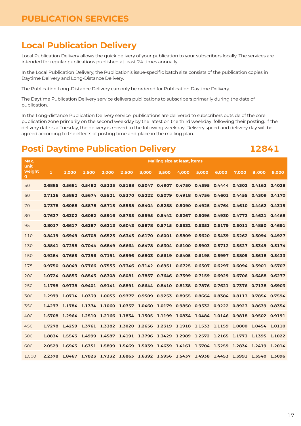### <span id="page-16-0"></span>**Local Publication Delivery**

Local Publication Delivery allows the quick delivery of your publication to your subscribers locally. The services are intended for regular publications published at least 24 times annually.

In the Local Publication Delivery, the Publication's issue-specific batch size consists of the publication copies in Daytime Delivery and Long-Distance Delivery.

The Publication Long-Distance Delivery can only be ordered for Publication Daytime Delivery.

The Daytime Publication Delivery service delivers publications to subscribers primarily during the date of publication.

In the Long-distance Publication Delivery service, publications are delivered to subscribers outside of the core publication zone primarily on the second weekday by the latest on the third weekday following their posting. If the delivery date is a Tuesday, the delivery is moved to the following weekday. Delivery speed and delivery day will be agreed according to the effects of posting time and place in the mailing plan.

#### **Posti Daytime Publication Delivery 12841**

| Max.<br>unit | <b>Mailing size at least, items</b> |               |                                                                                                        |                      |                                                                                        |       |       |                                    |       |       |       |                      |       |
|--------------|-------------------------------------|---------------|--------------------------------------------------------------------------------------------------------|----------------------|----------------------------------------------------------------------------------------|-------|-------|------------------------------------|-------|-------|-------|----------------------|-------|
| weight<br>g  | 1                                   | 1.000         | 1.500                                                                                                  | 2.000                | 2.500                                                                                  | 3.000 | 3.500 | 4.000                              | 5.000 | 6.000 | 7.000 | 8.000                | 9.000 |
| 50           |                                     |               | 0.6885 0.5681 0.5482 0.5335 0.5188 0.5047 0.4907 0.4750 0.4595 0.4444 0.4302 0.4162 0.4028             |                      |                                                                                        |       |       |                                    |       |       |       |                      |       |
| 60           |                                     |               | 0.7126  0.5882  0.5674  0.5521  0.5370  0.5222  0.5079  0.4918  0.4756  0.4601  0.4455  0.4309  0.4170 |                      |                                                                                        |       |       |                                    |       |       |       |                      |       |
| 70           |                                     |               | 0.7378 0.6088 0.5878 0.5715 0.5558 0.5404 0.5258 0.5090 0.4925 0.4764 0.4610 0.4462 0.4315             |                      |                                                                                        |       |       |                                    |       |       |       |                      |       |
| 80           |                                     |               | 0.7637 0.6302 0.6082 0.5916 0.5755 0.5595 0.5442 0.5267 0.5096 0.4930 0.4772 0.4621 0.4468             |                      |                                                                                        |       |       |                                    |       |       |       |                      |       |
| 95           | 0.8017                              | 0.6617        | 0.6387                                                                                                 |                      | 0.6213 0.6043 0.5878 0.5715 0.5532 0.5353 0.5179                                       |       |       |                                    |       |       |       | 0.5011 0.4850 0.4691 |       |
| 110          | 0.8419                              | 0.6949        |                                                                                                        |                      | 0.6708  0.6525  0.6345  0.6170  0.6001  0.5809  0.5620  0.5439  0.5262  0.5094  0.4927 |       |       |                                    |       |       |       |                      |       |
| 130          | 0.8841                              |               | 0.7298 0.7044 0.6849 0.6664 0.6478 0.6304 0.6100 0.5903 0.5712 0.5527 0.5349 0.5174                    |                      |                                                                                        |       |       |                                    |       |       |       |                      |       |
| 150          |                                     |               | 0.9284 0.7665 0.7396 0.7191 0.6996 0.6803 0.6619 0.6405 0.6198 0.5997 0.5805 0.5618 0.5433             |                      |                                                                                        |       |       |                                    |       |       |       |                      |       |
| 175          |                                     |               | 0.9750 0.8049 0.7766 0.7553 0.7346 0.7142 0.6951 0.6725 0.6507 0.6297 0.6094 0.5901 0.5707             |                      |                                                                                        |       |       |                                    |       |       |       |                      |       |
| 200          |                                     |               | 1.0724 0.8853 0.8543 0.8308 0.8081 0.7857 0.7646 0.7399 0.7159 0.6929 0.6706 0.6488 0.6277             |                      |                                                                                        |       |       |                                    |       |       |       |                      |       |
| 250          | 1.1798                              | 0.9738        |                                                                                                        |                      | 0.9401  0.9141  0.8891  0.8644  0.8410  0.8138  0.7876  0.7621  0.7376  0.7138  0.6903 |       |       |                                    |       |       |       |                      |       |
| 300          | 1.2979                              |               | 1.0714 1.0339                                                                                          |                      | 1.0053 0.9777 0.9509 0.9253 0.8955 0.8664 0.8384 0.8113 0.7854 0.7594                  |       |       |                                    |       |       |       |                      |       |
| 350          |                                     |               | 1.4277 1.1784 1.1374 1.1060 1.0757 1.0460 1.0179 0.9850 0.9532 0.9222 0.8923 0.8639 0.8354             |                      |                                                                                        |       |       |                                    |       |       |       |                      |       |
| 400          |                                     |               | 1.5708 1.2964 1.2510 1.2166 1.1834 1.1505 1.1199 1.0834 1.0484 1.0146 0.9818 0.9502 0.9191             |                      |                                                                                        |       |       |                                    |       |       |       |                      |       |
| 450          |                                     | 1.7278 1.4259 |                                                                                                        |                      | 1.3761 1.3382 1.3020 1.2656 1.2319 1.1918 1.1533 1.1159                                |       |       |                                    |       |       |       | 1.0800 1.0454 1.0110 |       |
| 500          |                                     |               | 1.8834 1.5543 1.4999 1.4587 1.4191 1.3796 1.3429 1.2989 1.2572 1.2165 1.1773 1.1395 1.1022             |                      |                                                                                        |       |       |                                    |       |       |       |                      |       |
| 600          |                                     | 2.0529 1.6943 |                                                                                                        | 1.6351 1.5899 1.5469 |                                                                                        |       |       | 1.5039 1.4639 1.4161 1.3704 1.3259 |       |       |       | 1.2834 1.2419 1.2014 |       |
| 1.000        |                                     |               | 2.2378 1.8467 1.7823 1.7332 1.6863 1.6392 1.5956 1.5437 1.4938 1.4453 1.3991 1.3540 1.3096             |                      |                                                                                        |       |       |                                    |       |       |       |                      |       |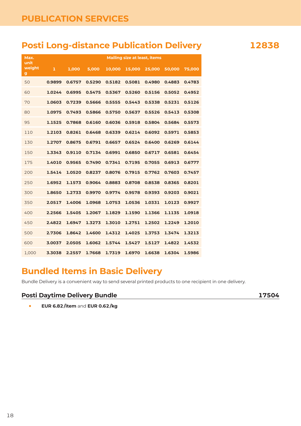### <span id="page-17-0"></span>**Posti Long-distance Publication Delivery 12838**

| Max.                           |        | <b>Mailing size at least, items</b> |        |        |        |        |        |        |  |  |  |  |  |
|--------------------------------|--------|-------------------------------------|--------|--------|--------|--------|--------|--------|--|--|--|--|--|
| unit<br>weight<br>$\mathbf{g}$ | 1      | 1,000                               | 5,000  | 10,000 | 15,000 | 25,000 | 50,000 | 75,000 |  |  |  |  |  |
| 50                             | 0.9899 | 0.6757                              | 0.5290 | 0.5182 | 0.5081 | 0.4980 | 0.4883 | 0.4783 |  |  |  |  |  |
| 60                             | 1.0244 | 0.6995                              | 0.5475 | 0.5367 | 0.5260 | 0.5156 | 0.5052 | 0.4952 |  |  |  |  |  |
| 70                             | 1.0603 | 0.7239                              | 0.5666 | 0.5555 | 0.5443 | 0.5338 | 0.5231 | 0.5126 |  |  |  |  |  |
| 80                             | 1.0975 | 0.7493                              | 0.5866 | 0.5750 | 0.5637 | 0.5526 | 0.5413 | 0.5308 |  |  |  |  |  |
| 95                             | 1.1525 | 0.7868                              | 0.6160 | 0.6036 | 0.5918 | 0.5804 | 0.5684 | 0.5573 |  |  |  |  |  |
| 110                            | 1.2103 | 0.8261                              | 0.6468 | 0.6339 | 0.6214 | 0.6092 | 0.5971 | 0.5853 |  |  |  |  |  |
| 130                            | 1.2707 | 0.8675                              | 0.6791 | 0.6657 | 0.6524 | 0.6400 | 0.6269 | 0.6144 |  |  |  |  |  |
| 150                            | 1.3343 | 0.9110                              | 0.7134 | 0.6991 | 0.6850 | 0.6717 | 0.6581 | 0.6454 |  |  |  |  |  |
| 175                            | 1.4010 | 0.9565                              | 0.7490 | 0.7341 | 0.7195 | 0.7055 | 0.6913 | 0.6777 |  |  |  |  |  |
| 200                            | 1.5414 | 1.0520                              | 0.8237 | 0.8076 | 0.7915 | 0.7762 | 0.7603 | 0.7457 |  |  |  |  |  |
| 250                            | 1.6952 | 1.1573                              | 0.9064 | 0.8883 | 0.8708 | 0.8538 | 0.8365 | 0.8201 |  |  |  |  |  |
| 300                            | 1.8650 | 1.2733                              | 0.9970 | 0.9774 | 0.9578 | 0.9393 | 0.9203 | 0.9021 |  |  |  |  |  |
| 350                            | 2.0517 | 1.4006                              | 1.0968 | 1.0753 | 1.0536 | 1.0331 | 1.0123 | 0.9927 |  |  |  |  |  |
| 400                            | 2.2566 | 1.5405                              | 1.2067 | 1.1829 | 1.1590 | 1.1366 | 1.1135 | 1.0918 |  |  |  |  |  |
| 450                            | 2.4822 | 1.6947                              | 1.3273 | 1.3010 | 1.2751 | 1.2502 | 1.2249 | 1.2010 |  |  |  |  |  |
| 500                            | 2.7306 | 1.8642                              | 1.4600 | 1.4312 | 1.4025 | 1.3753 | 1.3474 | 1.3213 |  |  |  |  |  |
| 600                            | 3.0037 | 2.0505                              | 1.6062 | 1.5744 | 1.5427 | 1.5127 | 1.4822 | 1.4532 |  |  |  |  |  |
| 1,000                          | 3.3038 | 2.2557                              | 1.7668 | 1.7319 | 1.6970 | 1.6638 | 1.6304 | 1.5986 |  |  |  |  |  |

# **Bundled Items in Basic Delivery**

Bundle Delivery is a convenient way to send several printed products to one recipient in one delivery.

#### **Posti Daytime Delivery Bundle 17504**

**• EUR 6.82 /item** and **EUR 0.62 /kg**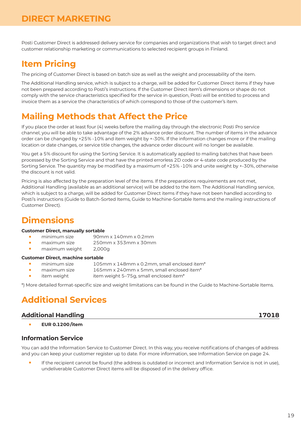<span id="page-18-0"></span>Posti Customer Direct is addressed delivery service for companies and organizations that wish to target direct and customer relationship marketing or communications to selected recipient groups in Finland.

## **Item Pricing**

The pricing of Customer Direct is based on batch size as well as the weight and processability of the item.

The Additional Handling service, which is subject to a charge, will be added for Customer Direct items if they have not been prepared according to Posti's instructions. If the Customer Direct item's dimensions or shape do not comply with the service characteristics specified for the service in question, Posti will be entitled to process and invoice them as a service the characteristics of which correspond to those of the customer's item.

# **Mailing Methods that Affect the Price**

If you place the order at least four (4) weeks before the mailing day through the electronic Posti Pro service channel, you will be able to take advantage of the 2% advance order discount. The number of items in the advance order can be changed by +25% -10% and item weight by +-30%. If the information changes more or if the mailing location or date changes, or service title changes, the advance order discount will no longer be available.

You get a 5% discount for using the Sorting Service. It is automatically applied to mailing batches that have been processed by the Sorting Service and that have the printed errorless 2D code or 4-state code produced by the Sorting Service. The quantity may be modified by a maximum of +25% -10% and unite weight by +-30%, otherwise the discount is not valid.

Pricing is also affected by the preparation level of the items. If the preparations requirements are not met, Additional Handling (available as an additional service) will be added to the item. The Additional Handling service, which is subject to a charge, will be added for Customer Direct items if they have not been handled according to Posti's instructions (Guide to Batch-Sorted Items, Guide to Machine-Sortable Items and the mailing instructions of Customer Direct).

# **Dimensions**

#### **Customer Direct, manually sortable**

- minimum size 90mm x 140mm x 0.2mm<br>• maximum size 250mm x 353mm x 30mm
- **•** maximum size 250mm x 353mm x 30mm
- **•** maximum weight 2,000g

#### **Customer Direct, machine sortable**

- **•** minimum size 105mm x 148mm x 0.2mm, small enclosed item\*
	- **•** maximum size 165mm x 240mm x 5mm, small enclosed item\*
- item weight 5–75g, small enclosed item<sup>\*</sup>

\*) More detailed format-specific size and weight limitations can be found in the Guide to Machine-Sortable Items.

# **Additional Services**

#### **Additional Handling 17018**

**• EUR 0.1200 /item**

#### **Information Service**

You can add the Information Service to Customer Direct. In this way, you receive notifications of changes of address and you can keep your customer register up to date. For more information, see [Information Service on page 24.](#page-23-0)

**•** If the recipient cannot be found (the address is outdated or incorrect and Information Service is not in use), undeliverable Customer Direct items will be disposed of in the delivery office.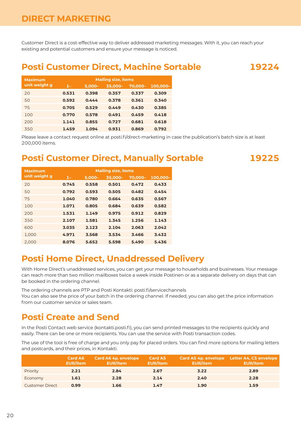<span id="page-19-0"></span>Customer Direct is a cost-effective way to deliver addressed marketing messages. With it, you can reach your existing and potential customers and ensure your message is noticed.

#### **Posti Customer Direct, Machine Sortable 19224**

**Maximum unit weight g Mailing size, items 1– 5,000– 35,000– 70,000– 100,000–** 20 **0.531 0.398 0.357 0.337 0.309** 50 **0.592 0.444 0.378 0.361 0.340** 75 **0.705 0.529 0.449 0.430 0.385** 100 **0.770 0.578 0.491 0.459 0.418** 200 **1.141 0.855 0.727 0.681 0.618** 350 **1.459 1.094 0.931 0.869 0.792**

Please leave a contact request online at [posti.fi/direct-marketing](http://posti.fi/direct-marketing) in case the publication's batch size is at least 200,000 items.

#### **Posti Customer Direct, Manually Sortable 19225**

| <b>Maximum</b> | <b>Mailing size, items</b> |           |         |         |          |
|----------------|----------------------------|-----------|---------|---------|----------|
| unit weight g  | $1-$                       | $5.000 -$ | 35,000- | 70,000- | 100,000- |
| 20             | 0.745                      | 0.558     | 0.501   | 0.472   | 0.433    |
| 50             | 0.792                      | 0.593     | 0.505   | 0.482   | 0.454    |
| 75             | 1.040                      | 0.780     | 0.664   | 0.635   | 0.567    |
| 100            | 1.071                      | 0.805     | 0.684   | 0.639   | 0.582    |
| 200            | 1.531                      | 1.149     | 0.975   | 0.912   | 0.829    |
| 350            | 2.107                      | 1.581     | 1.345   | 1.256   | 1.143    |
| 600            | 3.035                      | 2.123     | 2.104   | 2.063   | 2.042    |
| 1.000          | 4.971                      | 3.568     | 3.534   | 3.466   | 3.432    |
| 2.000          | 8.076                      | 5.652     | 5.598   | 5.490   | 5.436    |

### **Posti Home Direct, Unaddressed Delivery**

With Home Direct's unaddressed services, you can get your message to households and businesses. Your message can reach more than two million mailboxes twice a week inside Postinen or as a separate delivery on days that can be booked in the ordering channel.

The ordering channels are PTP and Posti Kontakti: [posti.fi/servicechannels](https://www.posti.fi/servicechannels)

You can also see the price of your batch in the ordering channel. If needed, you can also get the price information from our customer service or sales team.

#### **Posti Create and Send**

In the Posti Contact web service [\(kontakti.posti.fi\)](http://kontakti.posti.fi), you can send printed messages to the recipients quickly and easily. There can be one or more recipients. You can use the service with Posti transaction codes.

The use of the tool is free of charge and you only pay for placed orders. You can find more options for mailing letters and postcards, and their prices, in Kontakti.

|                        | Card A6<br><b>EUR/item</b> | Card A6 4p. envelope<br><b>EUR/item</b> | Card A5<br>EUR/item | <b>EUR/item</b> | Card A5 4p. envelope Letter A4, C5 envelope<br><b>EUR/item</b> |
|------------------------|----------------------------|-----------------------------------------|---------------------|-----------------|----------------------------------------------------------------|
| Priority               | 2.21                       | 2.84                                    | 2.67                | 3.22            | 2.89                                                           |
| Economy                | 1.61                       | 2.28                                    | 2.14                | 2.40            | 2.28                                                           |
| <b>Customer Direct</b> | 0.99                       | 1.66                                    | 1.47                | 1.90            | 1.59                                                           |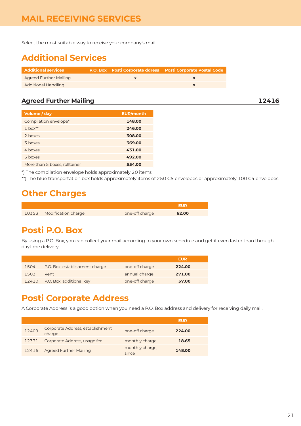#### <span id="page-20-0"></span>**MAIL RECEIVING SERVICES**

Select the most suitable way to receive your company's mail.

# **Additional Services**

| <b>Additional services</b>    |  | <b>P.O. Box Posti Corporate ddress Posti Corporate Postal Code</b> |
|-------------------------------|--|--------------------------------------------------------------------|
| <b>Agreed Further Mailing</b> |  |                                                                    |
| <b>Additional Handling</b>    |  |                                                                    |

#### **Agreed Further Mailing 12416**

| Volume / day                  | <b>EUR/month</b> |
|-------------------------------|------------------|
| Compilation envelope*         | 148.00           |
| $1$ box <sup>**</sup>         | 246.00           |
| 2 hoxes                       | 308.00           |
| 3 hoxes                       | 369.00           |
| 4 hoxes                       | 431.00           |
| 5 boxes                       | 492.00           |
| More than 5 boxes, rolltainer | 554.00           |

\*) The compilation envelope holds approximately 20 items.

\*\*) The blue transportation box holds approximately items of 250 C5 envelopes or approximately 100 C4 envelopes.

### **Other Charges**

| 10353 Modification charge | one-off charge | 62.00 |
|---------------------------|----------------|-------|

#### **Posti P.O. Box**

By using a P.O. Box, you can collect your mail according to your own schedule and get it even faster than through daytime delivery.

|      |                                |                | EUR    |
|------|--------------------------------|----------------|--------|
| 1504 | P.O. Box, establishment charge | one-off charge | 224.00 |
| 1503 | Rent                           | annual charge  | 271.00 |
|      | 12410 P.O. Box, additional key | one-off charge | 57.00  |

### **Posti Corporate Address**

A Corporate Address is a good option when you need a P.O. Box address and delivery for receiving daily mail.

|       |                                            |                          | EUR    |
|-------|--------------------------------------------|--------------------------|--------|
| 12409 | Corporate Address, establishment<br>charge | one-off charge           | 224.00 |
| 12331 | Corporate Address, usage fee               | monthly charge           | 18.65  |
| 12416 | <b>Agreed Further Mailing</b>              | monthly charge,<br>since | 148.00 |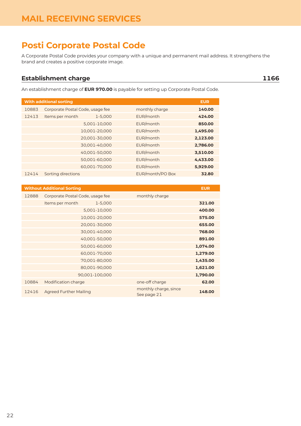## <span id="page-21-0"></span>**Posti Corporate Postal Code**

A Corporate Postal Code provides your company with a unique and permanent mail address. It strengthens the brand and creates a positive corporate image.

#### **Establishment charge 1166**

An establishment charge of **EUR 970.00** is payable for setting up Corporate Postal Code.

| <b>With additional sorting</b> | <b>EUR</b>                       |               |                  |          |
|--------------------------------|----------------------------------|---------------|------------------|----------|
| 10883                          | Corporate Postal Code, usage fee |               | monthly charge   | 140.00   |
| 12413                          | Items per month                  | 1-5,000       | EUR/month        | 424.00   |
|                                |                                  | 5,001-10,000  | EUR/month        | 850.00   |
|                                |                                  | 10,001-20,000 | EUR/month        | 1,495.00 |
|                                |                                  | 20,001-30,000 | EUR/month        | 2,123.00 |
|                                |                                  | 30,001-40,000 | EUR/month        | 2,786.00 |
|                                |                                  | 40,001-50,000 | EUR/month        | 3,510.00 |
|                                |                                  | 50,001-60,000 | EUR/month        | 4,433.00 |
|                                |                                  | 60,001-70,000 | EUR/month        | 5,929.00 |
| 12414                          | Sorting directions               |               | EUR/month/PO Box | 32.80    |

| <b>EUR</b> |                                      | <b>Without Additional Sorting</b> |       |
|------------|--------------------------------------|-----------------------------------|-------|
|            | monthly charge                       | Corporate Postal Code, usage fee  | 12888 |
| 321.00     |                                      | Items per month<br>$1 - 5,000$    |       |
| 400.00     |                                      | 5,001-10,000                      |       |
| 575.00     |                                      | 10,001-20,000                     |       |
| 655.00     |                                      | 20,001-30,000                     |       |
| 768.00     |                                      | 30,001-40,000                     |       |
| 891.00     |                                      | 40,001-50,000                     |       |
| 1,074.00   |                                      | 50,001-60,000                     |       |
| 1,279.00   |                                      | 60,001-70,000                     |       |
| 1,435.00   |                                      | 70,001-80,000                     |       |
| 1,621.00   |                                      | 80,001-90,000                     |       |
| 1,790.00   |                                      | 90,001-100,000                    |       |
| 62.00      | one-off charge                       | Modification charge               | 10884 |
| 148.00     | monthly charge, since<br>See page 21 | <b>Agreed Further Mailing</b>     | 12416 |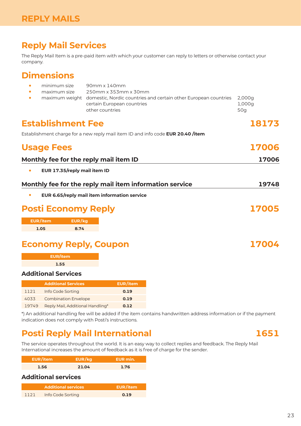### <span id="page-22-0"></span>**Reply Mail Services**

The Reply Mail Item is a pre-paid item with which your customer can reply to letters or otherwise contact your company.

## **Dimensions**

| $\bullet$ | minimum size<br>maximum size              | 90mm x 140mm<br>250mm x 353mm x 30mm<br>certain European countries<br>other countries | maximum weight domestic, Nordic countries and certain other European countries  | 2,000g<br>1,000g<br>50g |
|-----------|-------------------------------------------|---------------------------------------------------------------------------------------|---------------------------------------------------------------------------------|-------------------------|
|           | <b>Establishment Fee</b>                  |                                                                                       |                                                                                 | 18173                   |
|           |                                           |                                                                                       | Establishment charge for a new reply mail item ID and info code EUR 20.40 /item |                         |
|           | <b>Usage Fees</b>                         |                                                                                       |                                                                                 | 17006                   |
|           |                                           | Monthly fee for the reply mail item ID                                                |                                                                                 | 17006                   |
| $\bullet$ | EUR 17.35/reply mail item ID              |                                                                                       |                                                                                 |                         |
|           |                                           | Monthly fee for the reply mail item information service                               |                                                                                 | 19748                   |
| $\bullet$ |                                           | EUR 6.65/reply mail item information service                                          |                                                                                 |                         |
|           | <b>Posti Economy Reply</b>                |                                                                                       |                                                                                 | 17005                   |
|           | <b>EUR/item</b><br>EUR/kg<br>8.74<br>1.05 |                                                                                       |                                                                                 |                         |
|           |                                           | <b>Economy Reply, Coupon</b>                                                          |                                                                                 | 17004                   |
|           | <b>EUR/item</b>                           |                                                                                       |                                                                                 |                         |
|           | 1.55                                      |                                                                                       |                                                                                 |                         |
|           | <b>Additional Services</b>                |                                                                                       |                                                                                 |                         |
|           | <b>Additional Services</b>                | <b>EUR/item</b>                                                                       |                                                                                 |                         |
| 1121      | Info Code Sorting                         | 0.19                                                                                  |                                                                                 |                         |
| 4033      | <b>Combination Envelope</b>               | 0.19                                                                                  |                                                                                 |                         |

19749 Reply Mail, Additional Handling\* **0.12**

\*) An additional handling fee will be added if the item contains handwritten address information or if the payment indication does not comply with Posti's instructions.

# **Posti Reply Mail International 1651**

The service operates throughout the world. It is an easy way to collect replies and feedback. The Reply Mail International increases the amount of feedback as it is free of charge for the sender.

| EUR/item |       | EUR min. |
|----------|-------|----------|
| 1.56     | 21.04 | 1.76     |

#### **Additional services**

|      | <b>Additional services</b> | EUR/item |
|------|----------------------------|----------|
| 1121 | Info Code Sorting          | 0.19     |

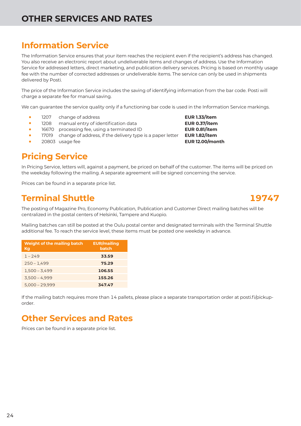# <span id="page-23-0"></span>**OTHER SERVICES AND RATES**

# **Information Service**

The Information Service ensures that your item reaches the recipient even if the recipient's address has changed. You also receive an electronic report about undeliverable items and changes of address. Use the Information Service for addressed letters, direct marketing, and publication delivery services. Pricing is based on monthly usage fee with the number of corrected addresses or undeliverable items. The service can only be used in shipments delivered by Posti.

The price of the Information Service includes the saving of identifying information from the bar code. Posti will charge a separate fee for manual saving.

We can guarantee the service quality only if a functioning bar code is used in the Information Service markings.

- 
- **•** 1207 change of address **EUR 1.33/item**<br>• 1208 manual entry of identification data **EUR 0.37/item •** 1208 manual entry of identification data **EUR 0.37/item**<br>• 16670 processing fee, using a terminated ID
- **•** 16670 processing fee, using a terminated ID **EUR 0.81/item**<br>**•** 17019 change of address, if the delivery type is a paper letter **EUR 1.82/item**
- 17019 change of address, if the delivery type is a paper letter
- **•** <sup>20803</sup> usage fee **EUR 12.00/month**

# **Pricing Service**

In Pricing Service, letters will, against a payment, be priced on behalf of the customer. The items will be priced on the weekday following the mailing. A separate agreement will be signed concerning the service.

Prices can be found in a separate price list.

## **Terminal Shuttle 19747**

The posting of Magazine Pro, Economy Publication, Publication and Customer Direct mailing batches will be centralized in the postal centers of Helsinki, Tampere and Kuopio.

Mailing batches can still be posted at the Oulu postal center and designated terminals with the Terminal Shuttle additional fee. To reach the service level, these items must be posted one weekday in advance.

| Weight of the mailing batch<br>Kg | <b>EUR/mailing</b><br>batch |
|-----------------------------------|-----------------------------|
| $1 - 249$                         | 33.59                       |
| $250 - 1,499$                     | 75.29                       |
| $1,500 - 3,499$                   | 106.55                      |
| $3,500 - 4,999$                   | 155.26                      |
| $5,000 - 29,999$                  | 347.47                      |

If the mailing batch requires more than 14 pallets, please place a separate transportation order at [posti.fi/pickup](http://posti.fi/pickup-order)[order](http://posti.fi/pickup-order).

# **Other Services and Rates**

Prices can be found in a separate price list.